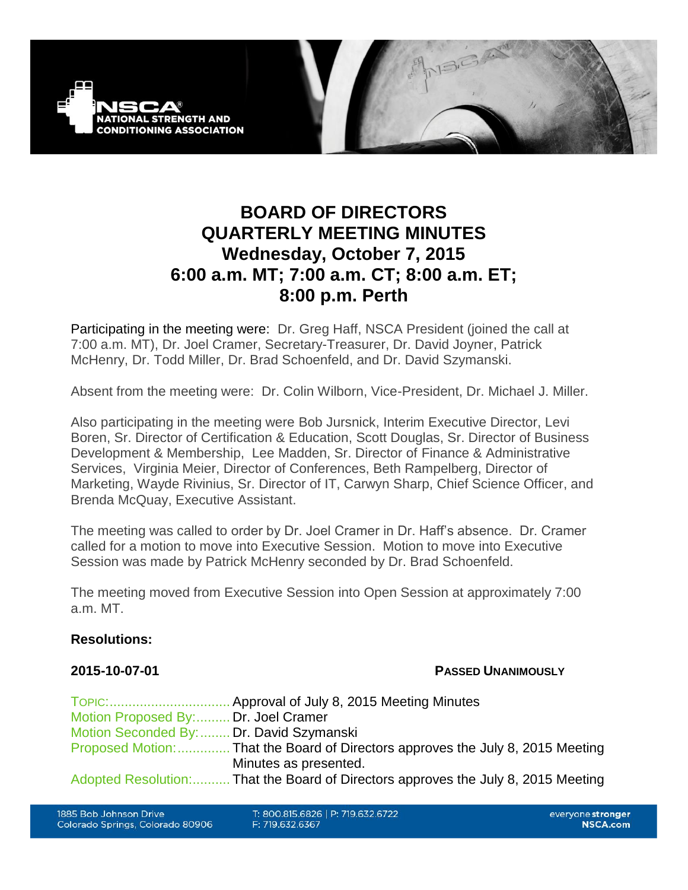

# **BOARD OF DIRECTORS QUARTERLY MEETING MINUTES Wednesday, October 7, 2015 6:00 a.m. MT; 7:00 a.m. CT; 8:00 a.m. ET; 8:00 p.m. Perth**

Participating in the meeting were: Dr. Greg Haff, NSCA President (joined the call at 7:00 a.m. MT), Dr. Joel Cramer, Secretary-Treasurer, Dr. David Joyner, Patrick McHenry, Dr. Todd Miller, Dr. Brad Schoenfeld, and Dr. David Szymanski.

Absent from the meeting were: Dr. Colin Wilborn, Vice-President, Dr. Michael J. Miller.

Also participating in the meeting were Bob Jursnick, Interim Executive Director, Levi Boren, Sr. Director of Certification & Education, Scott Douglas, Sr. Director of Business Development & Membership, Lee Madden, Sr. Director of Finance & Administrative Services, Virginia Meier, Director of Conferences, Beth Rampelberg, Director of Marketing, Wayde Rivinius, Sr. Director of IT, Carwyn Sharp, Chief Science Officer, and Brenda McQuay, Executive Assistant.

The meeting was called to order by Dr. Joel Cramer in Dr. Haff's absence. Dr. Cramer called for a motion to move into Executive Session. Motion to move into Executive Session was made by Patrick McHenry seconded by Dr. Brad Schoenfeld.

The meeting moved from Executive Session into Open Session at approximately 7:00 a.m. MT.

### **Resolutions:**

### **2015-10-07-01 PASSED UNANIMOUSLY**

| Motion Proposed By: Dr. Joel Cramer      |                                                                                   |
|------------------------------------------|-----------------------------------------------------------------------------------|
| Motion Seconded By:  Dr. David Szymanski |                                                                                   |
|                                          | Proposed Motion:  That the Board of Directors approves the July 8, 2015 Meeting   |
|                                          | Minutes as presented.                                                             |
|                                          | Adopted Resolution: That the Board of Directors approves the July 8, 2015 Meeting |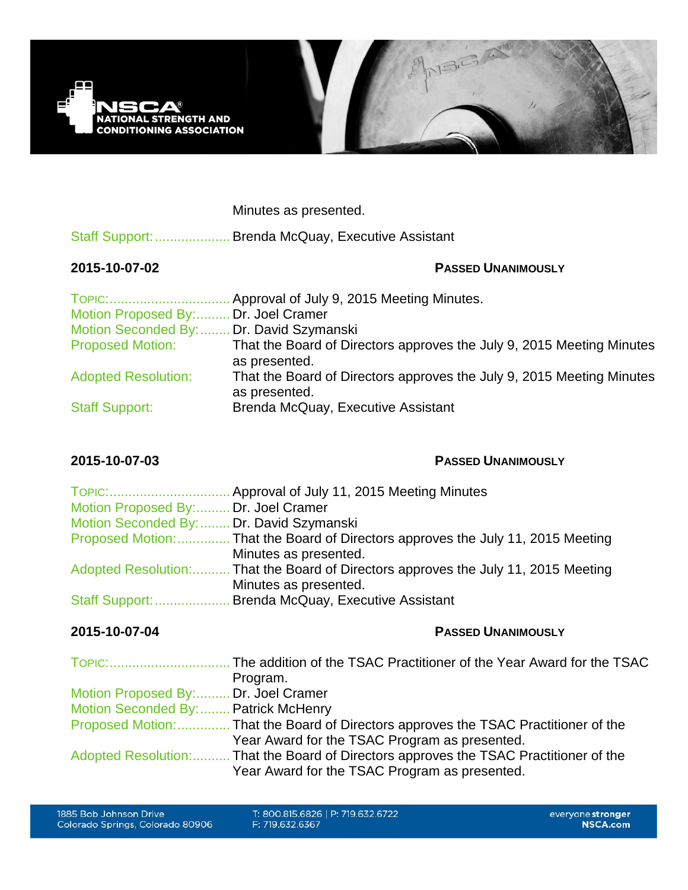

Minutes as presented.

Staff Support:.................... Brenda McQuay, Executive Assistant

# **2015-10-07-02 PASSED UNANIMOUSLY**

| TOPIC:                                   | Approval of July 9, 2015 Meeting Minutes.                                              |
|------------------------------------------|----------------------------------------------------------------------------------------|
| Motion Proposed By: Dr. Joel Cramer      |                                                                                        |
| Motion Seconded By:  Dr. David Szymanski |                                                                                        |
| <b>Proposed Motion:</b>                  | That the Board of Directors approves the July 9, 2015 Meeting Minutes<br>as presented. |
| <b>Adopted Resolution:</b>               | That the Board of Directors approves the July 9, 2015 Meeting Minutes<br>as presented. |
| <b>Staff Support:</b>                    | Brenda McQuay, Executive Assistant                                                     |

## **2015-10-07-03 PASSED UNANIMOUSLY**

| Motion Proposed By: Dr. Joel Cramer      |                                                                                    |
|------------------------------------------|------------------------------------------------------------------------------------|
| Motion Seconded By:  Dr. David Szymanski |                                                                                    |
|                                          | Proposed Motion:  That the Board of Directors approves the July 11, 2015 Meeting   |
|                                          | Minutes as presented.                                                              |
|                                          | Adopted Resolution: That the Board of Directors approves the July 11, 2015 Meeting |
|                                          | Minutes as presented.                                                              |
|                                          | Staff Support:  Brenda McQuay, Executive Assistant                                 |

# **2015-10-07-04 PASSED UNANIMOUSLY**

|                                      | Program.                                                                              |
|--------------------------------------|---------------------------------------------------------------------------------------|
| Motion Proposed By: Dr. Joel Cramer  |                                                                                       |
| Motion Seconded By:  Patrick McHenry |                                                                                       |
|                                      | Proposed Motion:  That the Board of Directors approves the TSAC Practitioner of the   |
|                                      | Year Award for the TSAC Program as presented.                                         |
|                                      | Adopted Resolution: That the Board of Directors approves the TSAC Practitioner of the |
|                                      | Year Award for the TSAC Program as presented.                                         |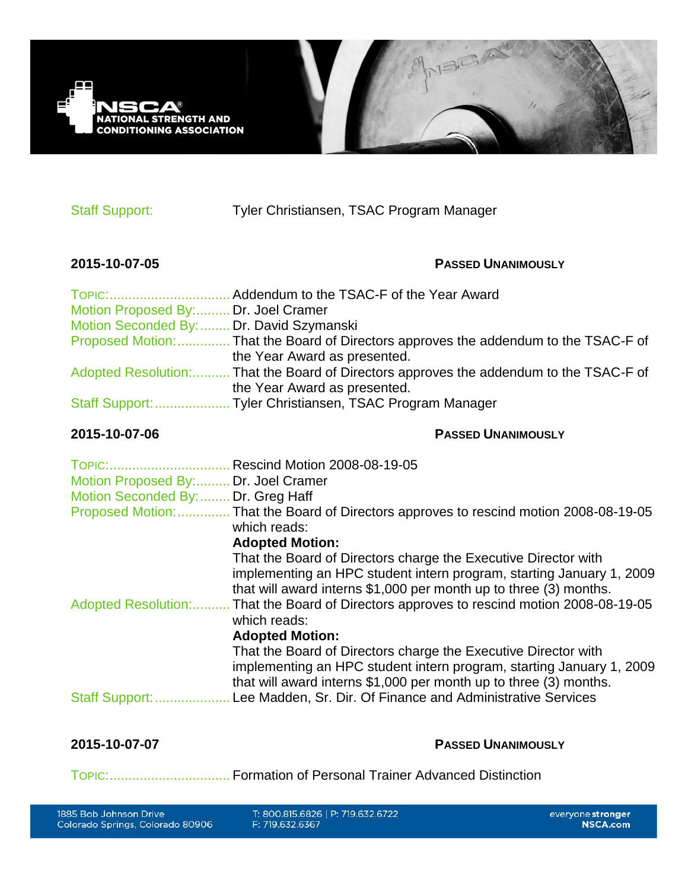

Staff Support: Tyler Christiansen, TSAC Program Manager

# **2015-10-07-05 PASSED UNANIMOUSLY**

| Motion Proposed By: Dr. Joel Cramer      |                                                                                        |
|------------------------------------------|----------------------------------------------------------------------------------------|
| Motion Seconded By:  Dr. David Szymanski |                                                                                        |
|                                          | Proposed Motion:  That the Board of Directors approves the addendum to the TSAC-F of   |
|                                          | the Year Award as presented.                                                           |
|                                          | Adopted Resolution: That the Board of Directors approves the addendum to the TSAC-F of |
|                                          | the Year Award as presented.                                                           |
|                                          |                                                                                        |
|                                          |                                                                                        |

### **2015-10-07-06 PASSED UNANIMOUSLY**

| TOPIC:                              | Rescind Motion 2008-08-19-05                                                                                                                                                                                |
|-------------------------------------|-------------------------------------------------------------------------------------------------------------------------------------------------------------------------------------------------------------|
| Motion Proposed By: Dr. Joel Cramer |                                                                                                                                                                                                             |
| Motion Seconded By:  Dr. Greg Haff  |                                                                                                                                                                                                             |
| Proposed Motion:                    | That the Board of Directors approves to rescind motion 2008-08-19-05<br>which reads:                                                                                                                        |
|                                     | <b>Adopted Motion:</b>                                                                                                                                                                                      |
|                                     | That the Board of Directors charge the Executive Director with<br>implementing an HPC student intern program, starting January 1, 2009<br>that will award interns \$1,000 per month up to three (3) months. |
| <b>Adopted Resolution:</b>          | That the Board of Directors approves to rescind motion 2008-08-19-05<br>which reads:                                                                                                                        |
|                                     | <b>Adopted Motion:</b>                                                                                                                                                                                      |
|                                     | That the Board of Directors charge the Executive Director with<br>implementing an HPC student intern program, starting January 1, 2009<br>that will award interns \$1,000 per month up to three (3) months. |
| Staff Support:.                     | Lee Madden, Sr. Dir. Of Finance and Administrative Services                                                                                                                                                 |

**2015-10-07-07 PASSED UNANIMOUSLY** 

TOPIC:................................ Formation of Personal Trainer Advanced Distinction

T: 800.815.6826 | P: 719.632.6722 F: 719.632.6367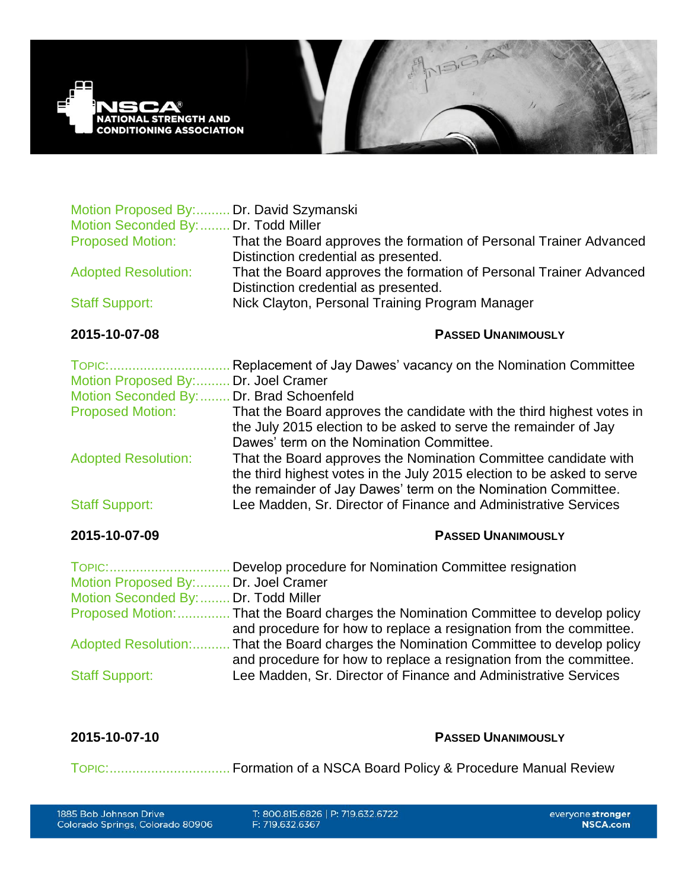

| Motion Proposed By: Dr. David Szymanski<br>Motion Seconded By: | Dr. Todd Miller                                                                                                                                                                       |
|----------------------------------------------------------------|---------------------------------------------------------------------------------------------------------------------------------------------------------------------------------------|
| <b>Proposed Motion:</b>                                        | That the Board approves the formation of Personal Trainer Advanced<br>Distinction credential as presented.                                                                            |
| <b>Adopted Resolution:</b>                                     | That the Board approves the formation of Personal Trainer Advanced<br>Distinction credential as presented.                                                                            |
| <b>Staff Support:</b>                                          | Nick Clayton, Personal Training Program Manager                                                                                                                                       |
| 2015-10-07-08                                                  | <b>PASSED UNANIMOUSLY</b>                                                                                                                                                             |
| TOPIC:<br>Motion Proposed By: Dr. Joel Cramer                  | . Replacement of Jay Dawes' vacancy on the Nomination Committee                                                                                                                       |
| Motion Seconded By:  Dr. Brad Schoenfeld                       |                                                                                                                                                                                       |
| <b>Proposed Motion:</b>                                        | That the Board approves the candidate with the third highest votes in<br>the July 2015 election to be asked to serve the remainder of Jay                                             |
| <b>Adopted Resolution:</b>                                     | Dawes' term on the Nomination Committee.<br>That the Board approves the Nomination Committee candidate with<br>the third highest votes in the July 2015 election to be asked to serve |
| <b>Staff Support:</b>                                          | the remainder of Jay Dawes' term on the Nomination Committee.<br>Lee Madden, Sr. Director of Finance and Administrative Services                                                      |
| 2015-10-07-09                                                  | <b>PASSED UNANIMOUSLY</b>                                                                                                                                                             |
|                                                                |                                                                                                                                                                                       |
| Motion Proposed By: Dr. Joel Cramer                            |                                                                                                                                                                                       |
| Motion Seconded By:  Dr. Todd Miller                           | Proposed Motion:  That the Board charges the Nomination Committee to develop policy                                                                                                   |
| <b>Adopted Resolution:</b>                                     | and procedure for how to replace a resignation from the committee.<br>That the Board charges the Nomination Committee to develop policy                                               |
| <b>Staff Support:</b>                                          | and procedure for how to replace a resignation from the committee.<br>Lee Madden, Sr. Director of Finance and Administrative Services                                                 |

### **2015-10-07-10 PASSED UNANIMOUSLY**

TOPIC:................................ Formation of a NSCA Board Policy & Procedure Manual Review

T: 800.815.6826 | P: 719.632.6722 F: 719.632.6367